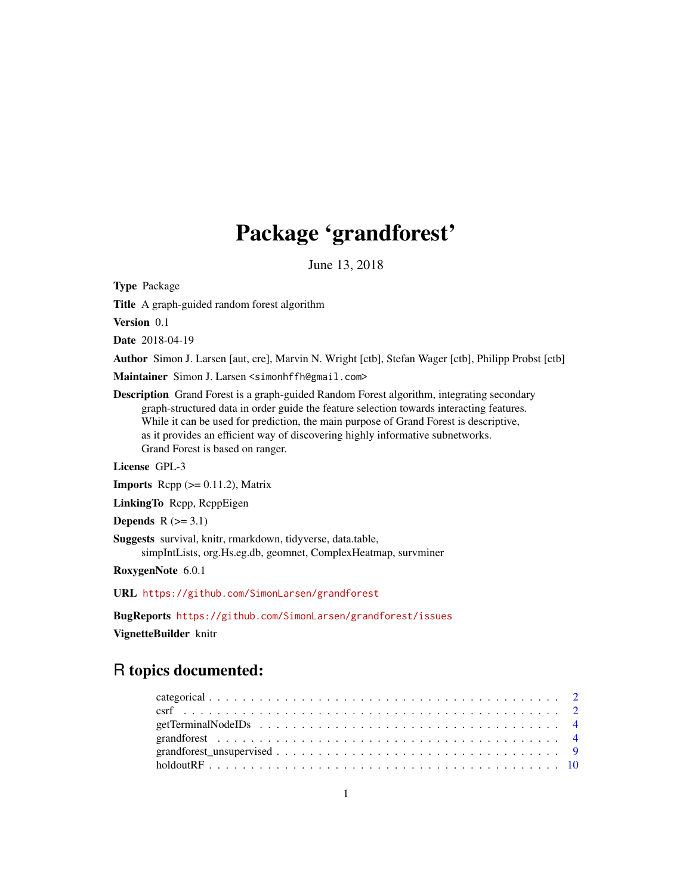# Package 'grandforest'

June 13, 2018

Type Package

Title A graph-guided random forest algorithm

Version 0.1

Date 2018-04-19

Author Simon J. Larsen [aut, cre], Marvin N. Wright [ctb], Stefan Wager [ctb], Philipp Probst [ctb]

Maintainer Simon J. Larsen <simonhffh@gmail.com>

Description Grand Forest is a graph-guided Random Forest algorithm, integrating secondary graph-structured data in order guide the feature selection towards interacting features. While it can be used for prediction, the main purpose of Grand Forest is descriptive, as it provides an efficient way of discovering highly informative subnetworks. Grand Forest is based on ranger.

License GPL-3

**Imports** Rcpp  $(>= 0.11.2)$ , Matrix

LinkingTo Rcpp, RcppEigen

Depends  $R$  ( $>= 3.1$ )

Suggests survival, knitr, rmarkdown, tidyverse, data.table, simpIntLists, org.Hs.eg.db, geomnet, ComplexHeatmap, survminer

RoxygenNote 6.0.1

URL <https://github.com/SimonLarsen/grandforest>

BugReports <https://github.com/SimonLarsen/grandforest/issues>

VignetteBuilder knitr

# R topics documented: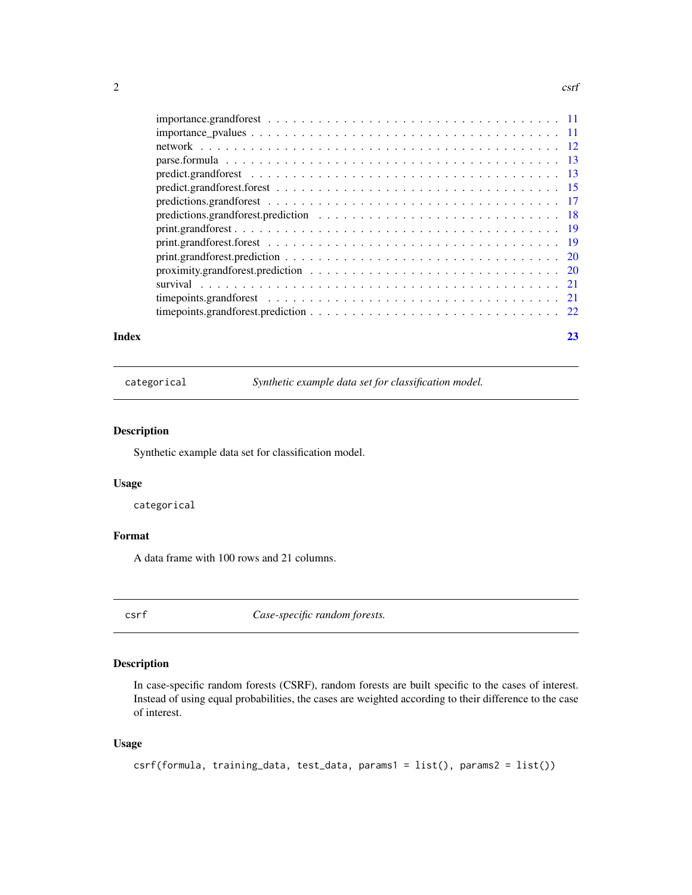#### <span id="page-1-0"></span> $2 \cos \theta$

| time points grandforest prediction $\ldots \ldots \ldots \ldots \ldots \ldots \ldots \ldots \ldots \ldots \ldots 22$ |  |
|----------------------------------------------------------------------------------------------------------------------|--|
|                                                                                                                      |  |
|                                                                                                                      |  |

#### **Index** [23](#page-22-0)

categorical *Synthetic example data set for classification model.*

## Description

Synthetic example data set for classification model.

## Usage

categorical

## Format

A data frame with 100 rows and 21 columns.

csrf *Case-specific random forests.*

## Description

In case-specific random forests (CSRF), random forests are built specific to the cases of interest. Instead of using equal probabilities, the cases are weighted according to their difference to the case of interest.

## Usage

```
csrf(formula, training_data, test_data, params1 = list(), params2 = list())
```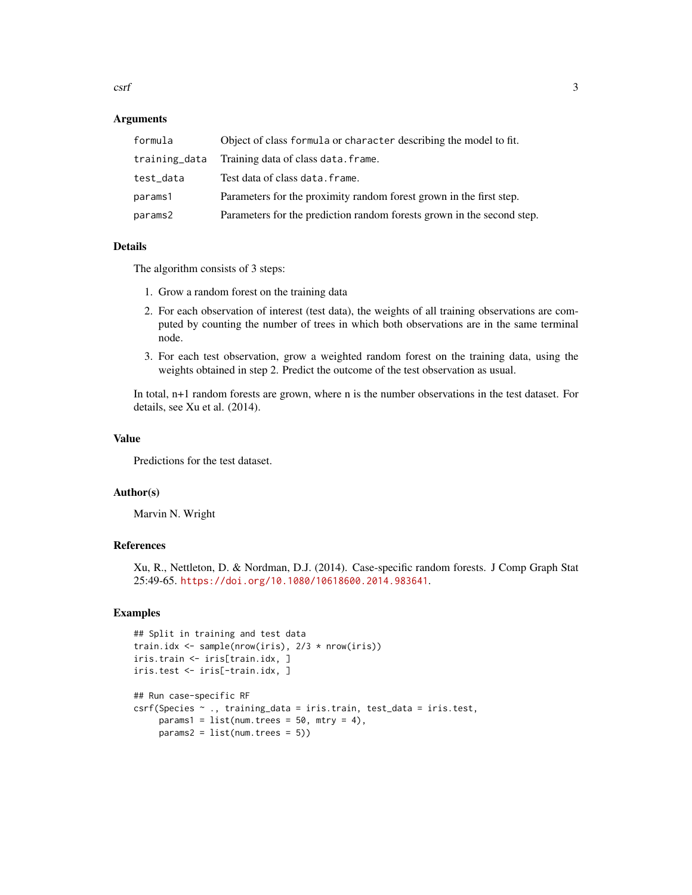csrf 3

#### Arguments

| formula       | Object of class formula or character describing the model to fit.      |
|---------------|------------------------------------------------------------------------|
| training_data | Training data of class data. frame.                                    |
| test_data     | Test data of class data. frame.                                        |
| params1       | Parameters for the proximity random forest grown in the first step.    |
| params2       | Parameters for the prediction random forests grown in the second step. |

#### Details

The algorithm consists of 3 steps:

- 1. Grow a random forest on the training data
- 2. For each observation of interest (test data), the weights of all training observations are computed by counting the number of trees in which both observations are in the same terminal node.
- 3. For each test observation, grow a weighted random forest on the training data, using the weights obtained in step 2. Predict the outcome of the test observation as usual.

In total, n+1 random forests are grown, where n is the number observations in the test dataset. For details, see Xu et al. (2014).

#### Value

Predictions for the test dataset.

#### Author(s)

Marvin N. Wright

#### References

Xu, R., Nettleton, D. & Nordman, D.J. (2014). Case-specific random forests. J Comp Graph Stat 25:49-65. <https://doi.org/10.1080/10618600.2014.983641>.

#### Examples

```
## Split in training and test data
train.idx <- sample(nrow(iris), 2/3 * nrow(iris))
iris.train <- iris[train.idx, ]
iris.test <- iris[-train.idx, ]
## Run case-specific RF
csrf(Species ~ ., training_data = iris.train, test_data = iris.test,
     params1 = list(num.trees = 50, mtry = 4),params2 = list(num.trees = 5))
```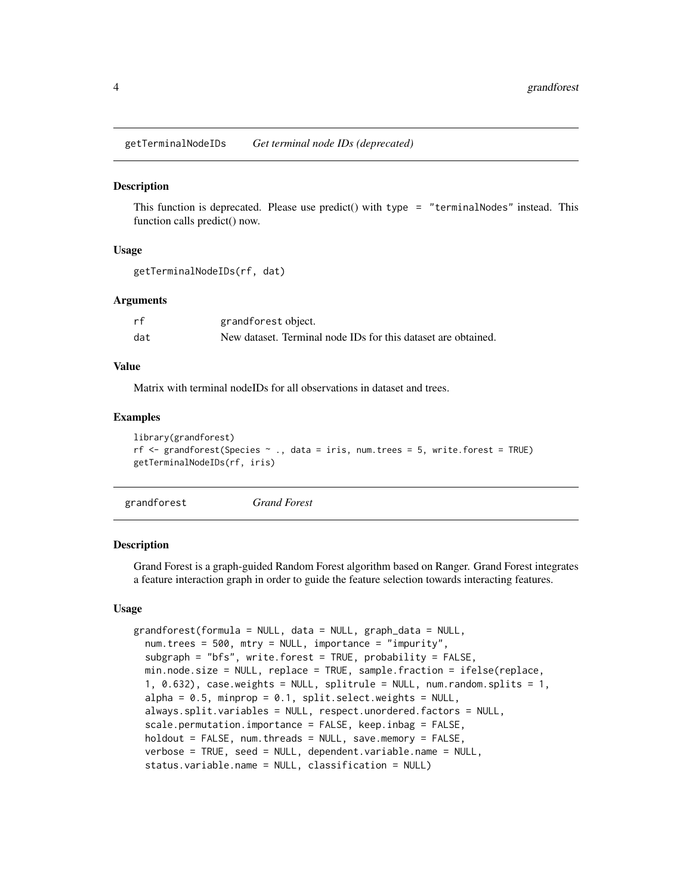<span id="page-3-0"></span>getTerminalNodeIDs *Get terminal node IDs (deprecated)*

#### Description

This function is deprecated. Please use predict() with type  $=$  "terminalNodes" instead. This function calls predict() now.

#### Usage

```
getTerminalNodeIDs(rf, dat)
```
#### Arguments

| rf  | grandforest object.                                           |
|-----|---------------------------------------------------------------|
| dat | New dataset. Terminal node IDs for this dataset are obtained. |

#### Value

Matrix with terminal nodeIDs for all observations in dataset and trees.

#### Examples

```
library(grandforest)
rf \le grandforest(Species \sim ., data = iris, num.trees = 5, write.forest = TRUE)
getTerminalNodeIDs(rf, iris)
```
<span id="page-3-1"></span>grandforest *Grand Forest*

#### Description

Grand Forest is a graph-guided Random Forest algorithm based on Ranger. Grand Forest integrates a feature interaction graph in order to guide the feature selection towards interacting features.

#### Usage

```
grandforest(formula = NULL, data = NULL, graph_data = NULL,
  num.trees = 500, mtry = NULL, importance = "impurity",
  subgraph = "bfs", write.forest = TRUE, probability = FALSE,
  min.node.size = NULL, replace = TRUE, sample.fraction = ifelse(replace,
  1, 0.632), case.weights = NULL, splitrule = NULL, num.random.splits = 1,
  alpha = 0.5, minprop = 0.1, split.select.weights = NULL,
  always.split.variables = NULL, respect.unordered.factors = NULL,
  scale.permutation.importance = FALSE, keep.inbag = FALSE,
  holdout = FALSE, num.threads = NULL, save.memory = FALSE,
  verbose = TRUE, seed = NULL, dependent.variable.name = NULL,
  status.variable.name = NULL, classification = NULL)
```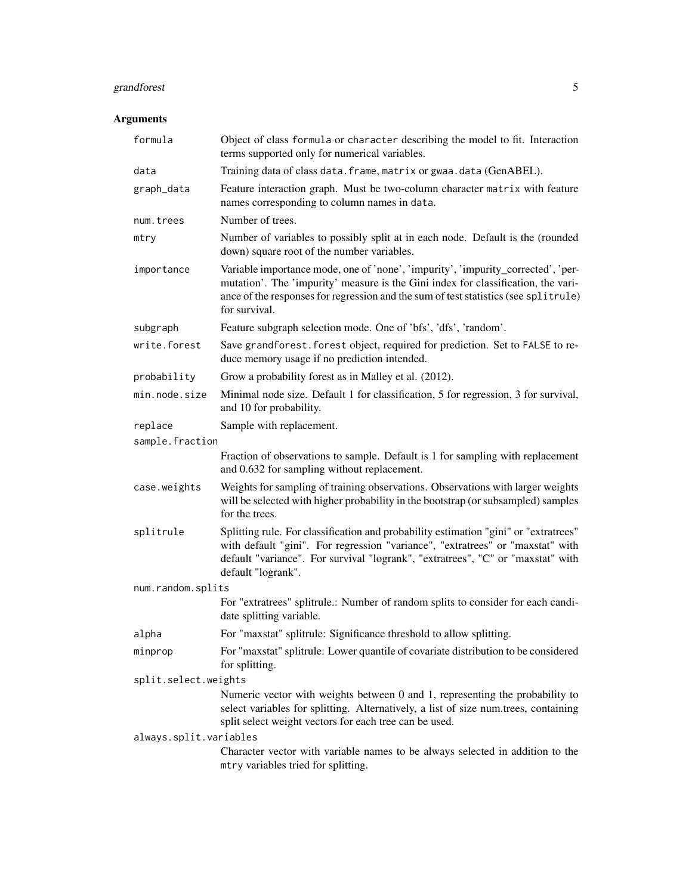# grandforest 5

# Arguments

| formula                | Object of class formula or character describing the model to fit. Interaction<br>terms supported only for numerical variables.                                                                                                                                                  |  |
|------------------------|---------------------------------------------------------------------------------------------------------------------------------------------------------------------------------------------------------------------------------------------------------------------------------|--|
| data                   | Training data of class data. frame, matrix or gwaa. data (GenABEL).                                                                                                                                                                                                             |  |
| graph_data             | Feature interaction graph. Must be two-column character matrix with feature<br>names corresponding to column names in data.                                                                                                                                                     |  |
| num.trees              | Number of trees.                                                                                                                                                                                                                                                                |  |
| mtry                   | Number of variables to possibly split at in each node. Default is the (rounded<br>down) square root of the number variables.                                                                                                                                                    |  |
| importance             | Variable importance mode, one of 'none', 'impurity', 'impurity_corrected', 'per-<br>mutation'. The 'impurity' measure is the Gini index for classification, the vari-<br>ance of the responses for regression and the sum of test statistics (see splitrule)<br>for survival.   |  |
| subgraph               | Feature subgraph selection mode. One of 'bfs', 'dfs', 'random'.                                                                                                                                                                                                                 |  |
| write.forest           | Save grandforest. forest object, required for prediction. Set to FALSE to re-<br>duce memory usage if no prediction intended.                                                                                                                                                   |  |
| probability            | Grow a probability forest as in Malley et al. (2012).                                                                                                                                                                                                                           |  |
| min.node.size          | Minimal node size. Default 1 for classification, 5 for regression, 3 for survival,<br>and 10 for probability.                                                                                                                                                                   |  |
| replace                | Sample with replacement.                                                                                                                                                                                                                                                        |  |
| sample.fraction        |                                                                                                                                                                                                                                                                                 |  |
|                        | Fraction of observations to sample. Default is 1 for sampling with replacement<br>and 0.632 for sampling without replacement.                                                                                                                                                   |  |
| case.weights           | Weights for sampling of training observations. Observations with larger weights<br>will be selected with higher probability in the bootstrap (or subsampled) samples<br>for the trees.                                                                                          |  |
| splitrule              | Splitting rule. For classification and probability estimation "gini" or "extratrees"<br>with default "gini". For regression "variance", "extratrees" or "maxstat" with<br>default "variance". For survival "logrank", "extratrees", "C" or "maxstat" with<br>default "logrank". |  |
| num.random.splits      |                                                                                                                                                                                                                                                                                 |  |
|                        | For "extratrees" splitrule.: Number of random splits to consider for each candi-<br>date splitting variable.                                                                                                                                                                    |  |
| alpha                  | For "maxstat" splitrule: Significance threshold to allow splitting.                                                                                                                                                                                                             |  |
| minprop                | For "maxstat" splitrule: Lower quantile of covariate distribution to be considered<br>for splitting.                                                                                                                                                                            |  |
| split.select.weights   |                                                                                                                                                                                                                                                                                 |  |
|                        | Numeric vector with weights between 0 and 1, representing the probability to<br>select variables for splitting. Alternatively, a list of size num.trees, containing<br>split select weight vectors for each tree can be used.                                                   |  |
| always.split.variables |                                                                                                                                                                                                                                                                                 |  |
|                        | Character vector with variable names to be always selected in addition to the<br>mtry variables tried for splitting.                                                                                                                                                            |  |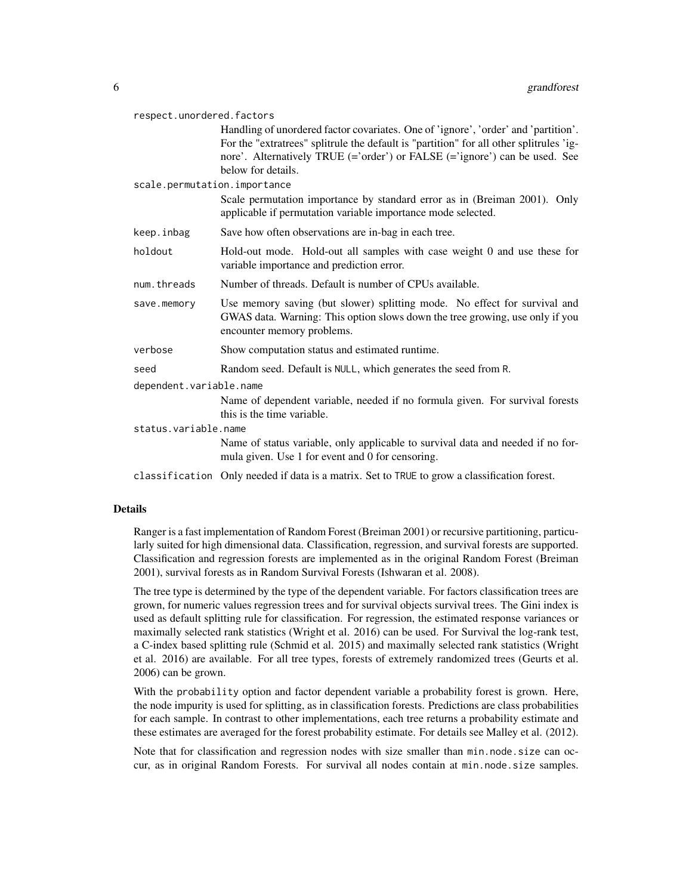| respect.unordered.factors    |                                                                                                                                                                                                                                                                                   |  |
|------------------------------|-----------------------------------------------------------------------------------------------------------------------------------------------------------------------------------------------------------------------------------------------------------------------------------|--|
|                              | Handling of unordered factor covariates. One of 'ignore', 'order' and 'partition'.<br>For the "extratrees" splitrule the default is "partition" for all other splitrules 'ig-<br>nore'. Alternatively TRUE (='order') or FALSE (='ignore') can be used. See<br>below for details. |  |
| scale.permutation.importance |                                                                                                                                                                                                                                                                                   |  |
|                              | Scale permutation importance by standard error as in (Breiman 2001). Only<br>applicable if permutation variable importance mode selected.                                                                                                                                         |  |
| keep.inbag                   | Save how often observations are in-bag in each tree.                                                                                                                                                                                                                              |  |
| holdout                      | Hold-out mode. Hold-out all samples with case weight 0 and use these for<br>variable importance and prediction error.                                                                                                                                                             |  |
| num.threads                  | Number of threads. Default is number of CPUs available.                                                                                                                                                                                                                           |  |
| save.memory                  | Use memory saving (but slower) splitting mode. No effect for survival and<br>GWAS data. Warning: This option slows down the tree growing, use only if you<br>encounter memory problems.                                                                                           |  |
| verbose                      | Show computation status and estimated runtime.                                                                                                                                                                                                                                    |  |
| seed                         | Random seed. Default is NULL, which generates the seed from R.                                                                                                                                                                                                                    |  |
| dependent.variable.name      |                                                                                                                                                                                                                                                                                   |  |
|                              | Name of dependent variable, needed if no formula given. For survival forests<br>this is the time variable.                                                                                                                                                                        |  |
| status.variable.name         |                                                                                                                                                                                                                                                                                   |  |
|                              | Name of status variable, only applicable to survival data and needed if no for-<br>mula given. Use 1 for event and 0 for censoring.                                                                                                                                               |  |
|                              | classification Only needed if data is a matrix. Set to TRUE to grow a classification forest.                                                                                                                                                                                      |  |

## Details

Ranger is a fast implementation of Random Forest (Breiman 2001) or recursive partitioning, particularly suited for high dimensional data. Classification, regression, and survival forests are supported. Classification and regression forests are implemented as in the original Random Forest (Breiman 2001), survival forests as in Random Survival Forests (Ishwaran et al. 2008).

The tree type is determined by the type of the dependent variable. For factors classification trees are grown, for numeric values regression trees and for survival objects survival trees. The Gini index is used as default splitting rule for classification. For regression, the estimated response variances or maximally selected rank statistics (Wright et al. 2016) can be used. For Survival the log-rank test, a C-index based splitting rule (Schmid et al. 2015) and maximally selected rank statistics (Wright et al. 2016) are available. For all tree types, forests of extremely randomized trees (Geurts et al. 2006) can be grown.

With the probability option and factor dependent variable a probability forest is grown. Here, the node impurity is used for splitting, as in classification forests. Predictions are class probabilities for each sample. In contrast to other implementations, each tree returns a probability estimate and these estimates are averaged for the forest probability estimate. For details see Malley et al. (2012).

Note that for classification and regression nodes with size smaller than min.node.size can occur, as in original Random Forests. For survival all nodes contain at min.node.size samples.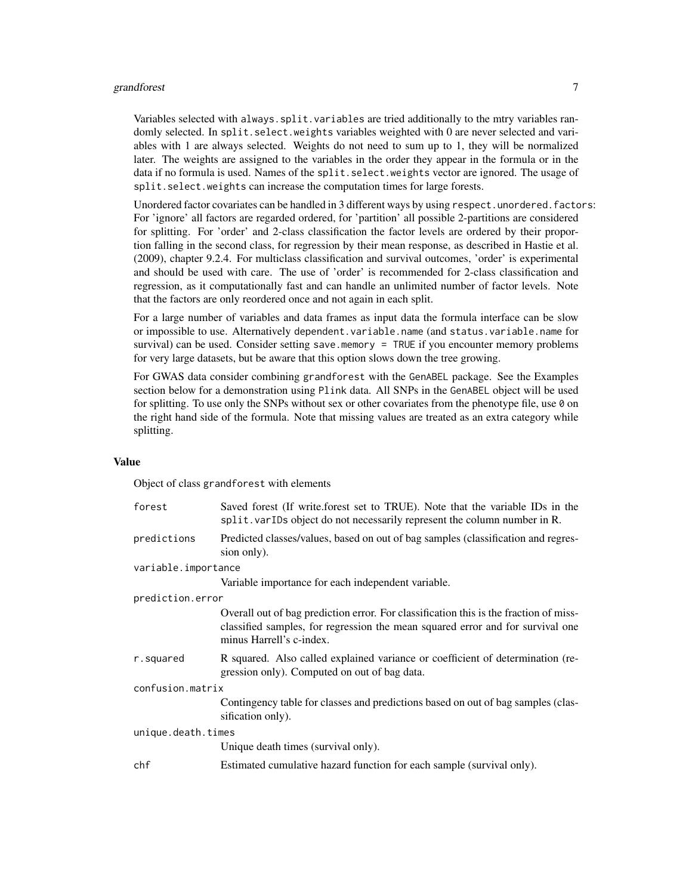#### grandforest 7 and 2008 and 2008 and 2008 and 2008 and 2008 and 2008 and 2008 and 2008 and 2008 and 2008 and 20

Variables selected with always.split.variables are tried additionally to the mtry variables randomly selected. In split.select.weights variables weighted with 0 are never selected and variables with 1 are always selected. Weights do not need to sum up to 1, they will be normalized later. The weights are assigned to the variables in the order they appear in the formula or in the data if no formula is used. Names of the split. select. weights vector are ignored. The usage of split.select.weights can increase the computation times for large forests.

Unordered factor covariates can be handled in 3 different ways by using respect.unordered.factors: For 'ignore' all factors are regarded ordered, for 'partition' all possible 2-partitions are considered for splitting. For 'order' and 2-class classification the factor levels are ordered by their proportion falling in the second class, for regression by their mean response, as described in Hastie et al. (2009), chapter 9.2.4. For multiclass classification and survival outcomes, 'order' is experimental and should be used with care. The use of 'order' is recommended for 2-class classification and regression, as it computationally fast and can handle an unlimited number of factor levels. Note that the factors are only reordered once and not again in each split.

For a large number of variables and data frames as input data the formula interface can be slow or impossible to use. Alternatively dependent.variable.name (and status.variable.name for survival) can be used. Consider setting save.memory  $=$  TRUE if you encounter memory problems for very large datasets, but be aware that this option slows down the tree growing.

For GWAS data consider combining grandforest with the GenABEL package. See the Examples section below for a demonstration using Plink data. All SNPs in the GenABEL object will be used for splitting. To use only the SNPs without sex or other covariates from the phenotype file, use 0 on the right hand side of the formula. Note that missing values are treated as an extra category while splitting.

#### Value

Object of class grandforest with elements

| forest              | Saved forest (If write.forest set to TRUE). Note that the variable IDs in the<br>split. varIDs object do not necessarily represent the column number in R.                                          |  |
|---------------------|-----------------------------------------------------------------------------------------------------------------------------------------------------------------------------------------------------|--|
| predictions         | Predicted classes/values, based on out of bag samples (classification and regres-<br>sion only).                                                                                                    |  |
| variable.importance |                                                                                                                                                                                                     |  |
|                     | Variable importance for each independent variable.                                                                                                                                                  |  |
| prediction.error    |                                                                                                                                                                                                     |  |
|                     | Overall out of bag prediction error. For classification this is the fraction of miss-<br>classified samples, for regression the mean squared error and for survival one<br>minus Harrell's c-index. |  |
| r.squared           | R squared. Also called explained variance or coefficient of determination (re-<br>gression only). Computed on out of bag data.                                                                      |  |
| confusion.matrix    |                                                                                                                                                                                                     |  |
|                     | Contingency table for classes and predictions based on out of bag samples (clas-<br>sification only).                                                                                               |  |
| unique.death.times  |                                                                                                                                                                                                     |  |
|                     | Unique death times (survival only).                                                                                                                                                                 |  |
| chf                 | Estimated cumulative hazard function for each sample (survival only).                                                                                                                               |  |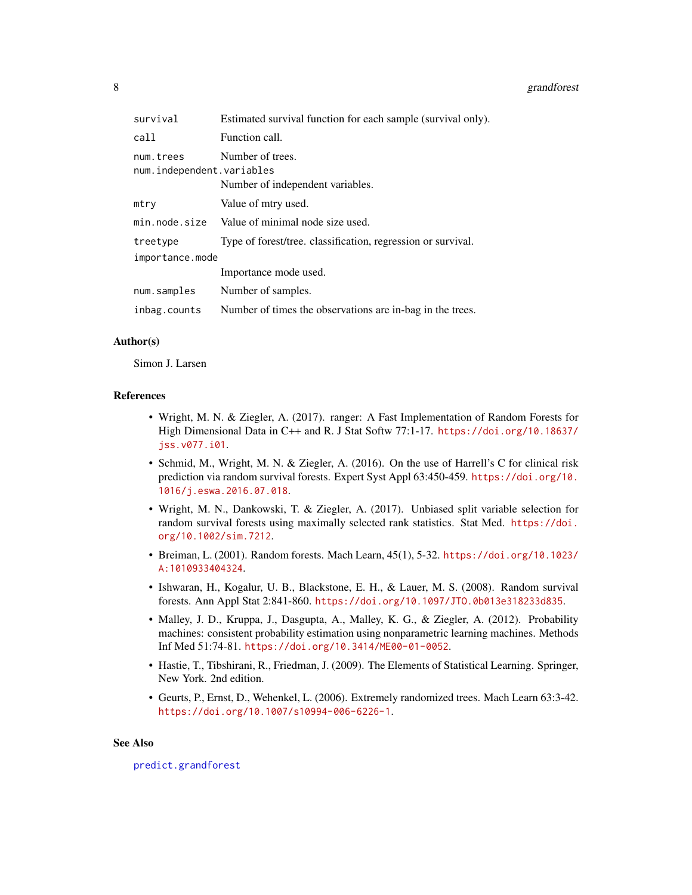<span id="page-7-0"></span>

| survival                               | Estimated survival function for each sample (survival only). |
|----------------------------------------|--------------------------------------------------------------|
| call                                   | Function call.                                               |
| num.trees<br>num.independent.variables | Number of trees.<br>Number of independent variables.         |
| mtry                                   | Value of mtry used.                                          |
| min.node.size                          | Value of minimal node size used.                             |
| treetype                               | Type of forest/tree. classification, regression or survival. |
| importance.mode                        |                                                              |
|                                        | Importance mode used.                                        |
| num.samples                            | Number of samples.                                           |
| inbag.counts                           | Number of times the observations are in-bag in the trees.    |

#### Author(s)

Simon J. Larsen

#### References

- Wright, M. N. & Ziegler, A. (2017). ranger: A Fast Implementation of Random Forests for High Dimensional Data in C++ and R. J Stat Softw 77:1-17. [https://doi.org/10.18637/](https://doi.org/10.18637/jss.v077.i01) [jss.v077.i01](https://doi.org/10.18637/jss.v077.i01).
- Schmid, M., Wright, M. N. & Ziegler, A. (2016). On the use of Harrell's C for clinical risk prediction via random survival forests. Expert Syst Appl 63:450-459. [https://doi.org/10.](https://doi.org/10.1016/j.eswa.2016.07.018) [1016/j.eswa.2016.07.018](https://doi.org/10.1016/j.eswa.2016.07.018).
- Wright, M. N., Dankowski, T. & Ziegler, A. (2017). Unbiased split variable selection for random survival forests using maximally selected rank statistics. Stat Med. [https://doi.](https://doi.org/10.1002/sim.7212) [org/10.1002/sim.7212](https://doi.org/10.1002/sim.7212).
- Breiman, L. (2001). Random forests. Mach Learn, 45(1), 5-32. [https://doi.org/10.1023/](https://doi.org/10.1023/A:1010933404324) [A:1010933404324](https://doi.org/10.1023/A:1010933404324).
- Ishwaran, H., Kogalur, U. B., Blackstone, E. H., & Lauer, M. S. (2008). Random survival forests. Ann Appl Stat 2:841-860. <https://doi.org/10.1097/JTO.0b013e318233d835>.
- Malley, J. D., Kruppa, J., Dasgupta, A., Malley, K. G., & Ziegler, A. (2012). Probability machines: consistent probability estimation using nonparametric learning machines. Methods Inf Med 51:74-81. <https://doi.org/10.3414/ME00-01-0052>.
- Hastie, T., Tibshirani, R., Friedman, J. (2009). The Elements of Statistical Learning. Springer, New York. 2nd edition.
- Geurts, P., Ernst, D., Wehenkel, L. (2006). Extremely randomized trees. Mach Learn 63:3-42. <https://doi.org/10.1007/s10994-006-6226-1>.

#### See Also

[predict.grandforest](#page-12-1)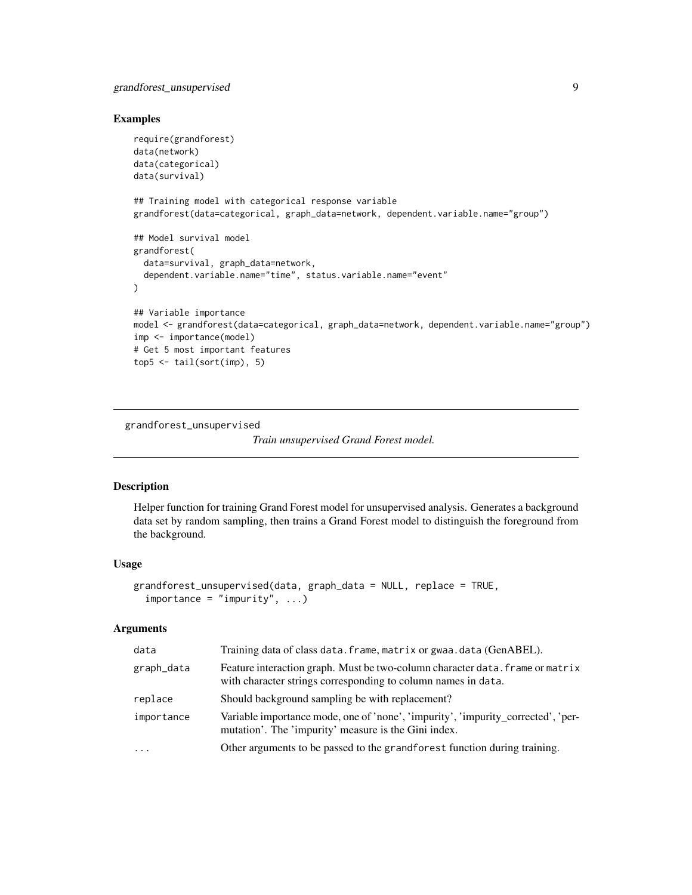## <span id="page-8-0"></span>grandforest\_unsupervised 9

#### Examples

```
require(grandforest)
data(network)
data(categorical)
data(survival)
## Training model with categorical response variable
grandforest(data=categorical, graph_data=network, dependent.variable.name="group")
## Model survival model
grandforest(
  data=survival, graph_data=network,
  dependent.variable.name="time", status.variable.name="event"
)
## Variable importance
model <- grandforest(data=categorical, graph_data=network, dependent.variable.name="group")
imp <- importance(model)
# Get 5 most important features
top5 < - tail(sort(imp), 5)
```
grandforest\_unsupervised

*Train unsupervised Grand Forest model.*

#### Description

Helper function for training Grand Forest model for unsupervised analysis. Generates a background data set by random sampling, then trains a Grand Forest model to distinguish the foreground from the background.

#### Usage

```
grandforest_unsupervised(data, graph_data = NULL, replace = TRUE,
  importance = "impurity", ...)
```
## Arguments

| data       | Training data of class data. frame, matrix or gwaa. data (GenABEL).                                                                            |
|------------|------------------------------------------------------------------------------------------------------------------------------------------------|
| graph_data | Feature interaction graph. Must be two-column character data. frame or matrix<br>with character strings corresponding to column names in data. |
| replace    | Should background sampling be with replacement?                                                                                                |
| importance | Variable importance mode, one of 'none', 'impurity', 'impurity_corrected', 'per-<br>mutation'. The 'impurity' measure is the Gini index.       |
| $\ddotsc$  | Other arguments to be passed to the grandforest function during training.                                                                      |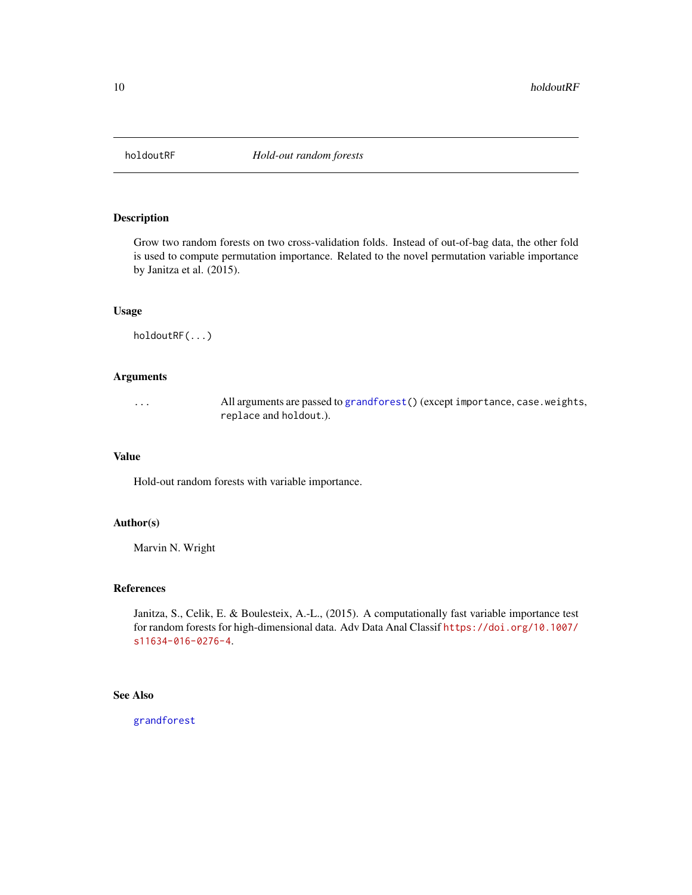<span id="page-9-0"></span>

## Description

Grow two random forests on two cross-validation folds. Instead of out-of-bag data, the other fold is used to compute permutation importance. Related to the novel permutation variable importance by Janitza et al. (2015).

## Usage

holdoutRF(...)

#### Arguments

... All arguments are passed to [grandforest\(](#page-3-1)) (except importance, case.weights, replace and holdout.).

#### Value

Hold-out random forests with variable importance.

## Author(s)

Marvin N. Wright

#### References

Janitza, S., Celik, E. & Boulesteix, A.-L., (2015). A computationally fast variable importance test for random forests for high-dimensional data. Adv Data Anal Classif [https://doi.org/10.1007/](https://doi.org/10.1007/s11634-016-0276-4) [s11634-016-0276-4](https://doi.org/10.1007/s11634-016-0276-4).

#### See Also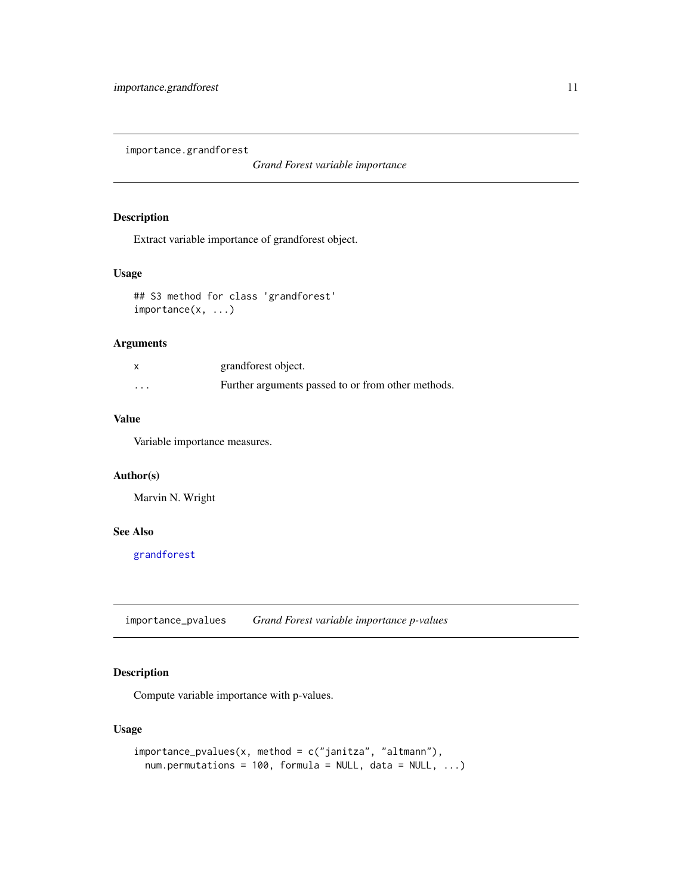<span id="page-10-0"></span>importance.grandforest

*Grand Forest variable importance*

#### Description

Extract variable importance of grandforest object.

## Usage

```
## S3 method for class 'grandforest'
importance(x, ...)
```
## Arguments

|          | grandforest object.                                |
|----------|----------------------------------------------------|
| $\cdots$ | Further arguments passed to or from other methods. |

## Value

Variable importance measures.

## Author(s)

Marvin N. Wright

#### See Also

[grandforest](#page-3-1)

importance\_pvalues *Grand Forest variable importance p-values*

## Description

Compute variable importance with p-values.

## Usage

```
importance_pvalues(x, method = c("janitza", "altmann"),
 num.permutations = 100, formula = NULL, data = NULL, ...)
```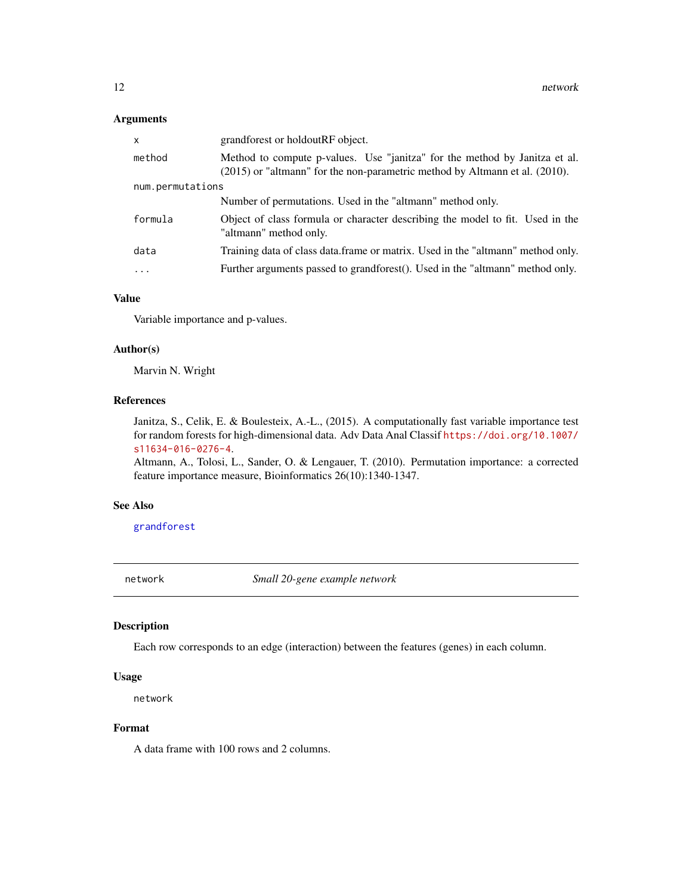## <span id="page-11-0"></span>Arguments

| x                | grandforest or holdoutRF object.                                                                                                                               |  |
|------------------|----------------------------------------------------------------------------------------------------------------------------------------------------------------|--|
| method           | Method to compute p-values. Use "janitza" for the method by Janitza et al.<br>$(2015)$ or "altmann" for the non-parametric method by Altmann et al. $(2010)$ . |  |
| num.permutations |                                                                                                                                                                |  |
|                  | Number of permutations. Used in the "altmann" method only.                                                                                                     |  |
| formula          | Object of class formula or character describing the model to fit. Used in the<br>"altmann" method only.                                                        |  |
| data             | Training data of class data.frame or matrix. Used in the "altmann" method only.                                                                                |  |
| $\cdots$         | Further arguments passed to grandforest(). Used in the "altmann" method only.                                                                                  |  |

#### Value

Variable importance and p-values.

#### Author(s)

Marvin N. Wright

#### References

Janitza, S., Celik, E. & Boulesteix, A.-L., (2015). A computationally fast variable importance test for random forests for high-dimensional data. Adv Data Anal Classif [https://doi.org/10.1007/](https://doi.org/10.1007/s11634-016-0276-4) [s11634-016-0276-4](https://doi.org/10.1007/s11634-016-0276-4).

Altmann, A., Tolosi, L., Sander, O. & Lengauer, T. (2010). Permutation importance: a corrected feature importance measure, Bioinformatics 26(10):1340-1347.

#### See Also

[grandforest](#page-3-1)

network *Small 20-gene example network*

#### Description

Each row corresponds to an edge (interaction) between the features (genes) in each column.

#### Usage

network

#### Format

A data frame with 100 rows and 2 columns.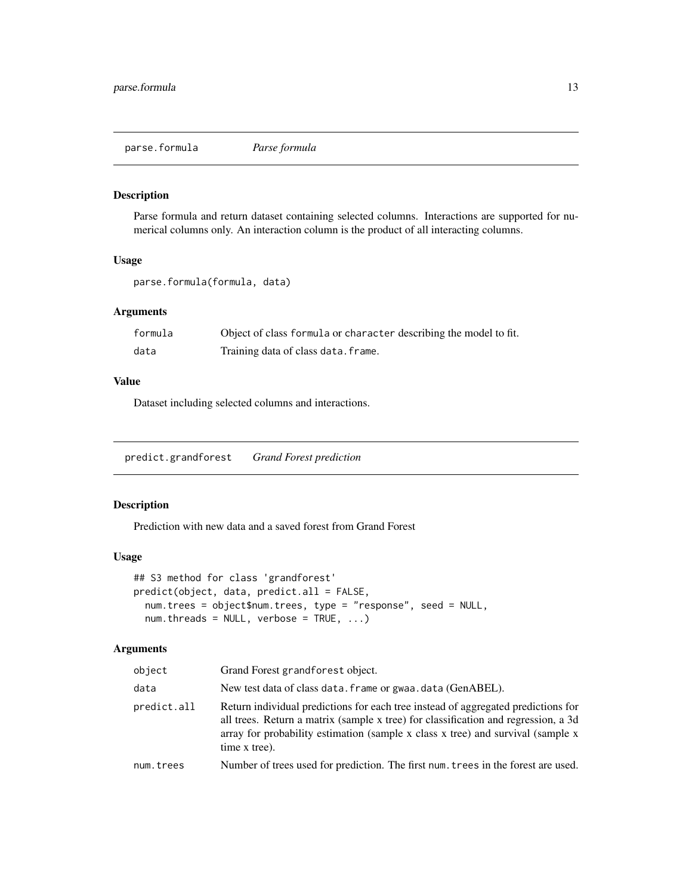<span id="page-12-0"></span>parse.formula *Parse formula*

#### Description

Parse formula and return dataset containing selected columns. Interactions are supported for numerical columns only. An interaction column is the product of all interacting columns.

#### Usage

parse.formula(formula, data)

## Arguments

| formula | Object of class formula or character describing the model to fit. |
|---------|-------------------------------------------------------------------|
| data    | Training data of class data. frame.                               |

#### Value

Dataset including selected columns and interactions.

<span id="page-12-1"></span>predict.grandforest *Grand Forest prediction*

## Description

Prediction with new data and a saved forest from Grand Forest

#### Usage

```
## S3 method for class 'grandforest'
predict(object, data, predict.all = FALSE,
 num.trees = object$num.trees, type = "response", seed = NULL,
  num.threads = NULL, verbose = TRUE, ...)
```
## Arguments

| object      | Grand Forest grandforest object.                                                                                                                                                                                                                                            |
|-------------|-----------------------------------------------------------------------------------------------------------------------------------------------------------------------------------------------------------------------------------------------------------------------------|
| data        | New test data of class data. frame or gwaa. data (GenABEL).                                                                                                                                                                                                                 |
| predict.all | Return individual predictions for each tree instead of aggregated predictions for<br>all trees. Return a matrix (sample x tree) for classification and regression, a 3d<br>array for probability estimation (sample x class x tree) and survival (sample x<br>time x tree). |
| num.trees   | Number of trees used for prediction. The first num, trees in the forest are used.                                                                                                                                                                                           |
|             |                                                                                                                                                                                                                                                                             |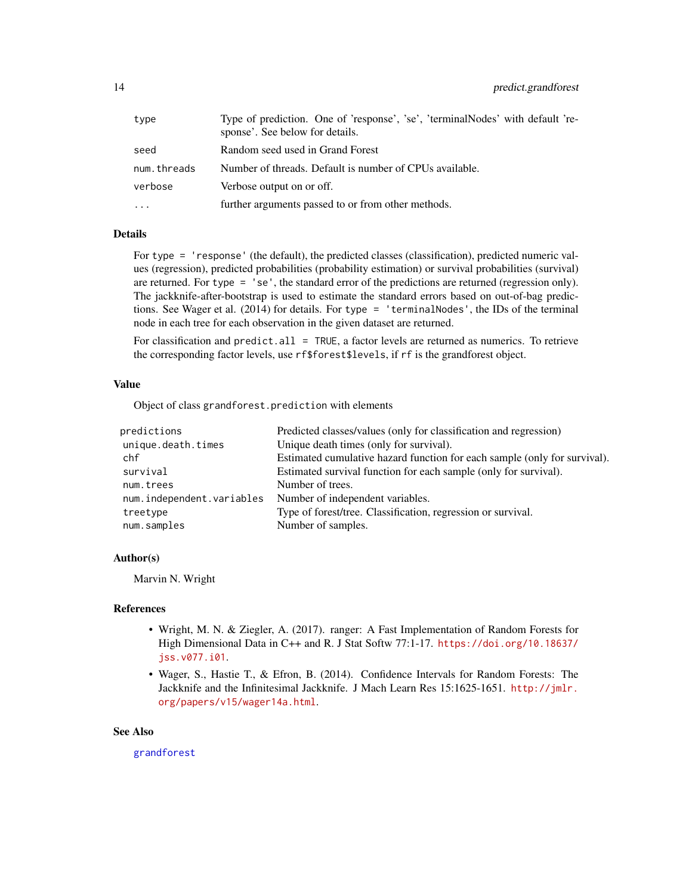<span id="page-13-0"></span>

| type        | Type of prediction. One of 'response', 'se', 'terminalNodes' with default 're-<br>sponse'. See below for details. |
|-------------|-------------------------------------------------------------------------------------------------------------------|
| seed        | Random seed used in Grand Forest                                                                                  |
| num.threads | Number of threads. Default is number of CPUs available.                                                           |
| verbose     | Verbose output on or off.                                                                                         |
| $\ddots$    | further arguments passed to or from other methods.                                                                |

#### Details

For type = 'response' (the default), the predicted classes (classification), predicted numeric values (regression), predicted probabilities (probability estimation) or survival probabilities (survival) are returned. For type = 'se', the standard error of the predictions are returned (regression only). The jackknife-after-bootstrap is used to estimate the standard errors based on out-of-bag predictions. See Wager et al. (2014) for details. For type = 'terminalNodes', the IDs of the terminal node in each tree for each observation in the given dataset are returned.

For classification and predict.all = TRUE, a factor levels are returned as numerics. To retrieve the corresponding factor levels, use rf\$forest\$levels, if rf is the grandforest object.

#### Value

Object of class grandforest.prediction with elements

| predictions               | Predicted classes/values (only for classification and regression)         |
|---------------------------|---------------------------------------------------------------------------|
| unique.death.times        | Unique death times (only for survival).                                   |
| chf                       | Estimated cumulative hazard function for each sample (only for survival). |
| survival                  | Estimated survival function for each sample (only for survival).          |
| num.trees                 | Number of trees.                                                          |
| num.independent.variables | Number of independent variables.                                          |
| treetype                  | Type of forest/tree. Classification, regression or survival.              |
| num.samples               | Number of samples.                                                        |

## Author(s)

Marvin N. Wright

## References

- Wright, M. N. & Ziegler, A. (2017). ranger: A Fast Implementation of Random Forests for High Dimensional Data in C++ and R. J Stat Softw 77:1-17. [https://doi.org/10.18637/](https://doi.org/10.18637/jss.v077.i01) [jss.v077.i01](https://doi.org/10.18637/jss.v077.i01).
- Wager, S., Hastie T., & Efron, B. (2014). Confidence Intervals for Random Forests: The Jackknife and the Infinitesimal Jackknife. J Mach Learn Res 15:1625-1651. [http://jmlr.](http://jmlr.org/papers/v15/wager14a.html) [org/papers/v15/wager14a.html](http://jmlr.org/papers/v15/wager14a.html).

#### See Also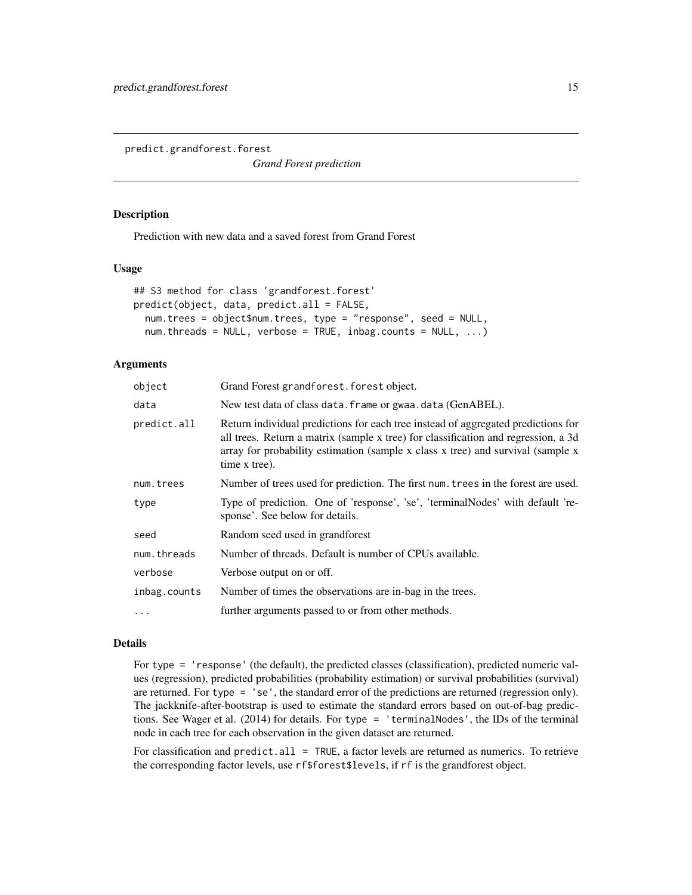<span id="page-14-0"></span>predict.grandforest.forest

*Grand Forest prediction*

#### **Description**

Prediction with new data and a saved forest from Grand Forest

#### Usage

```
## S3 method for class 'grandforest.forest'
predict(object, data, predict.all = FALSE,
 num.trees = object$num.trees, type = "response", seed = NULL,
  num.threads = NULL, verbose = TRUE, inbag.counts = NULL, ...)
```
## Arguments

| object       | Grand Forest grandforest. forest object.                                                                                                                                                                                                                                    |
|--------------|-----------------------------------------------------------------------------------------------------------------------------------------------------------------------------------------------------------------------------------------------------------------------------|
| data         | New test data of class data. frame or gwaa. data (GenABEL).                                                                                                                                                                                                                 |
| predict.all  | Return individual predictions for each tree instead of aggregated predictions for<br>all trees. Return a matrix (sample x tree) for classification and regression, a 3d<br>array for probability estimation (sample x class x tree) and survival (sample x<br>time x tree). |
| num.trees    | Number of trees used for prediction. The first num trees in the forest are used.                                                                                                                                                                                            |
| type         | Type of prediction. One of 'response', 'se', 'terminalNodes' with default 're-<br>sponse'. See below for details.                                                                                                                                                           |
| seed         | Random seed used in grandforest                                                                                                                                                                                                                                             |
| num.threads  | Number of threads. Default is number of CPUs available.                                                                                                                                                                                                                     |
| verbose      | Verbose output on or off.                                                                                                                                                                                                                                                   |
| inbag.counts | Number of times the observations are in-bag in the trees.                                                                                                                                                                                                                   |
| $\ddotsc$    | further arguments passed to or from other methods.                                                                                                                                                                                                                          |

#### Details

For type = 'response' (the default), the predicted classes (classification), predicted numeric values (regression), predicted probabilities (probability estimation) or survival probabilities (survival) are returned. For type = 'se', the standard error of the predictions are returned (regression only). The jackknife-after-bootstrap is used to estimate the standard errors based on out-of-bag predictions. See Wager et al. (2014) for details. For type = 'terminalNodes', the IDs of the terminal node in each tree for each observation in the given dataset are returned.

For classification and predict.all = TRUE, a factor levels are returned as numerics. To retrieve the corresponding factor levels, use rf\$forest\$levels, if rf is the grandforest object.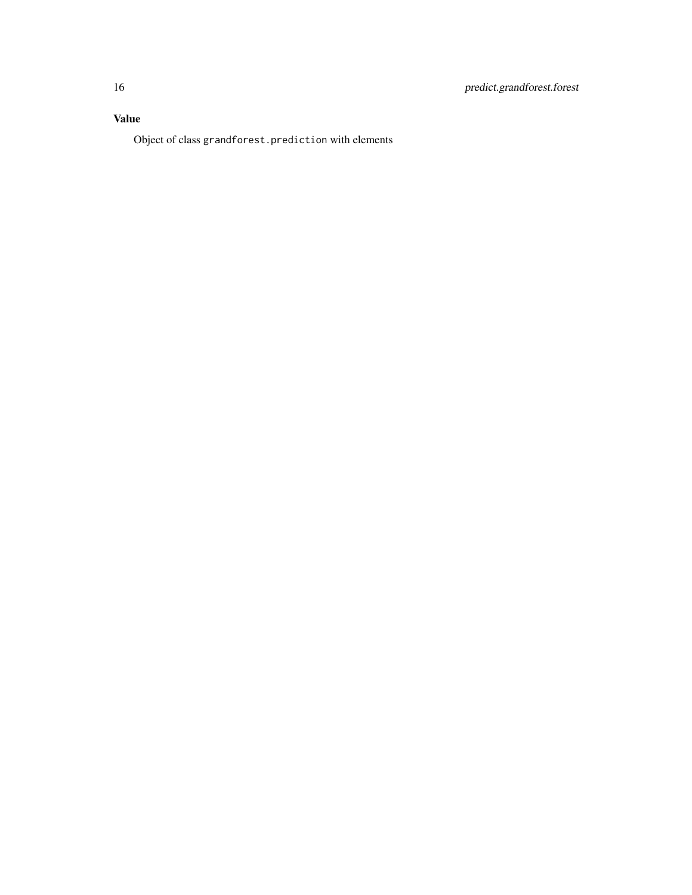## Value

Object of class grandforest.prediction with elements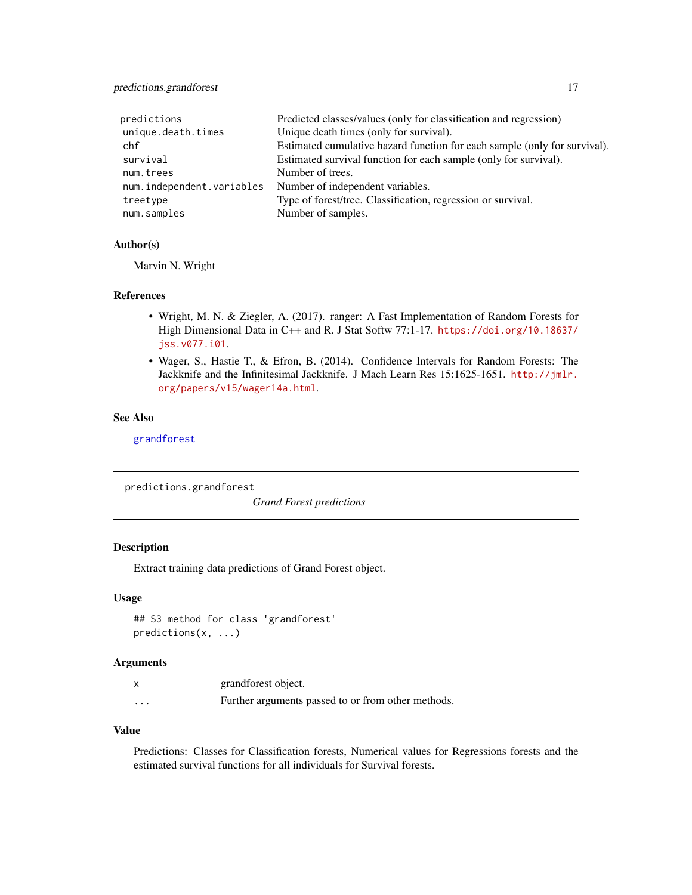## <span id="page-16-0"></span>predictions.grandforest 17

| predictions               | Predicted classes/values (only for classification and regression)         |
|---------------------------|---------------------------------------------------------------------------|
| unique.death.times        | Unique death times (only for survival).                                   |
| chf                       | Estimated cumulative hazard function for each sample (only for survival). |
| survival                  | Estimated survival function for each sample (only for survival).          |
| num.trees                 | Number of trees.                                                          |
| num.independent.variables | Number of independent variables.                                          |
| treetype                  | Type of forest/tree. Classification, regression or survival.              |
| num.samples               | Number of samples.                                                        |

#### Author(s)

Marvin N. Wright

#### References

- Wright, M. N. & Ziegler, A. (2017). ranger: A Fast Implementation of Random Forests for High Dimensional Data in C++ and R. J Stat Softw 77:1-17. [https://doi.org/10.18637/](https://doi.org/10.18637/jss.v077.i01) [jss.v077.i01](https://doi.org/10.18637/jss.v077.i01).
- Wager, S., Hastie T., & Efron, B. (2014). Confidence Intervals for Random Forests: The Jackknife and the Infinitesimal Jackknife. J Mach Learn Res 15:1625-1651. [http://jmlr.](http://jmlr.org/papers/v15/wager14a.html) [org/papers/v15/wager14a.html](http://jmlr.org/papers/v15/wager14a.html).

## See Also

[grandforest](#page-3-1)

predictions.grandforest

*Grand Forest predictions*

## Description

Extract training data predictions of Grand Forest object.

#### Usage

```
## S3 method for class 'grandforest'
predictions(x, ...)
```
#### Arguments

|          | grandforest object.                                |
|----------|----------------------------------------------------|
| $\cdots$ | Further arguments passed to or from other methods. |

#### Value

Predictions: Classes for Classification forests, Numerical values for Regressions forests and the estimated survival functions for all individuals for Survival forests.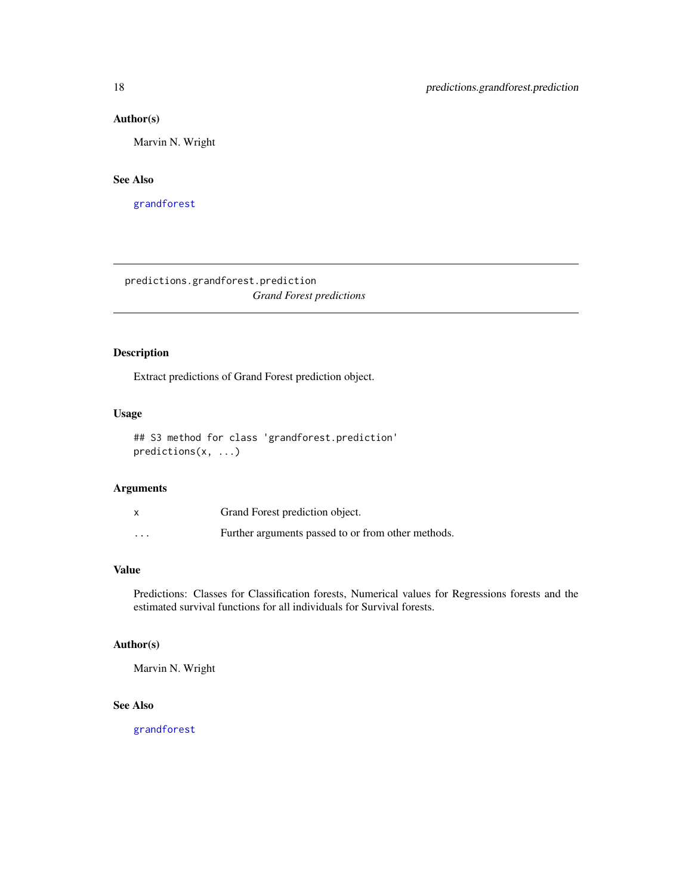#### <span id="page-17-0"></span>Author(s)

Marvin N. Wright

#### See Also

[grandforest](#page-3-1)

predictions.grandforest.prediction *Grand Forest predictions*

## Description

Extract predictions of Grand Forest prediction object.

## Usage

## S3 method for class 'grandforest.prediction' predictions(x, ...)

#### Arguments

|          | Grand Forest prediction object.                    |
|----------|----------------------------------------------------|
| $\cdots$ | Further arguments passed to or from other methods. |

#### Value

Predictions: Classes for Classification forests, Numerical values for Regressions forests and the estimated survival functions for all individuals for Survival forests.

## Author(s)

Marvin N. Wright

## See Also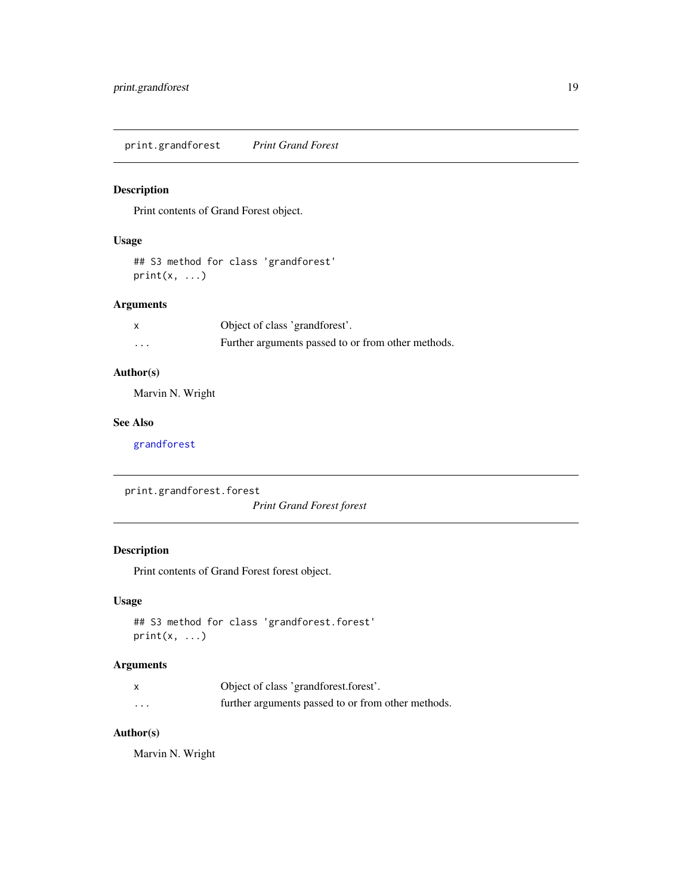<span id="page-18-0"></span>print.grandforest *Print Grand Forest*

#### Description

Print contents of Grand Forest object.

#### Usage

## S3 method for class 'grandforest'  $print(x, \ldots)$ 

## Arguments

|          | Object of class 'grandforest'.                     |
|----------|----------------------------------------------------|
| $\cdots$ | Further arguments passed to or from other methods. |

## Author(s)

Marvin N. Wright

## See Also

[grandforest](#page-3-1)

print.grandforest.forest

*Print Grand Forest forest*

## Description

Print contents of Grand Forest forest object.

## Usage

```
## S3 method for class 'grandforest.forest'
print(x, \ldots)
```
## Arguments

|          | Object of class 'grandforest.forest'.              |
|----------|----------------------------------------------------|
| $\cdots$ | further arguments passed to or from other methods. |

## Author(s)

Marvin N. Wright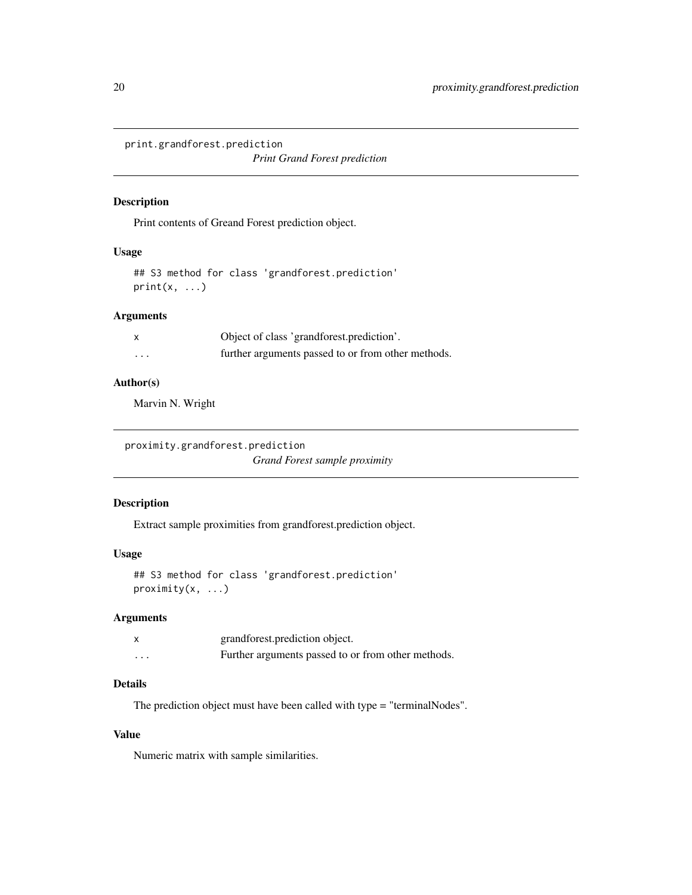<span id="page-19-0"></span>print.grandforest.prediction

*Print Grand Forest prediction*

#### Description

Print contents of Greand Forest prediction object.

## Usage

## S3 method for class 'grandforest.prediction'  $print(x, \ldots)$ 

## Arguments

| $\mathsf{x}$            | Object of class 'grandforest.prediction'.          |
|-------------------------|----------------------------------------------------|
| $\cdot$ $\cdot$ $\cdot$ | further arguments passed to or from other methods. |

## Author(s)

Marvin N. Wright

proximity.grandforest.prediction *Grand Forest sample proximity*

## Description

Extract sample proximities from grandforest.prediction object.

## Usage

```
## S3 method for class 'grandforest.prediction'
proximity(x, ...)
```
#### Arguments

|         | grandforest.prediction object.                     |
|---------|----------------------------------------------------|
| $\cdot$ | Further arguments passed to or from other methods. |

## Details

The prediction object must have been called with type = "terminalNodes".

## Value

Numeric matrix with sample similarities.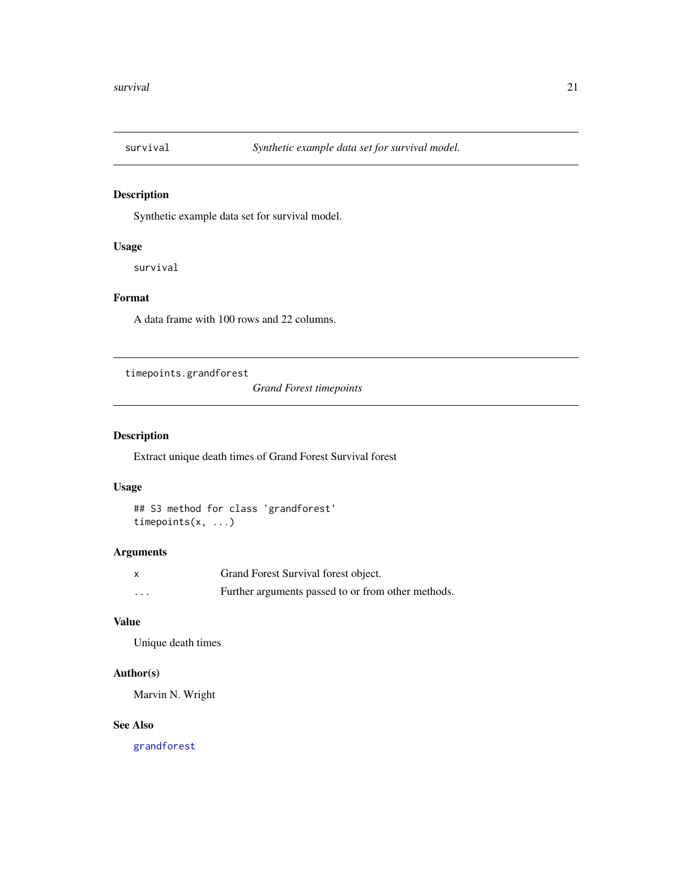<span id="page-20-0"></span>

## Description

Synthetic example data set for survival model.

## Usage

survival

## Format

A data frame with 100 rows and 22 columns.

timepoints.grandforest

*Grand Forest timepoints*

# Description

Extract unique death times of Grand Forest Survival forest

#### Usage

```
## S3 method for class 'grandforest'
timepoints(x, ...)
```
## Arguments

| X | Grand Forest Survival forest object.               |
|---|----------------------------------------------------|
| . | Further arguments passed to or from other methods. |

## Value

Unique death times

## Author(s)

Marvin N. Wright

#### See Also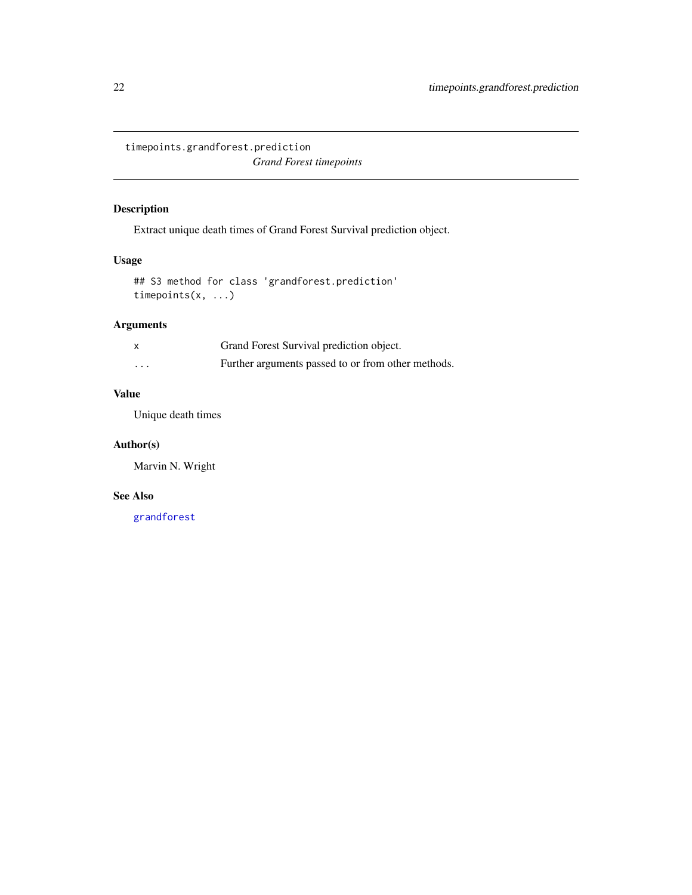<span id="page-21-0"></span>timepoints.grandforest.prediction *Grand Forest timepoints*

## Description

Extract unique death times of Grand Forest Survival prediction object.

## Usage

## S3 method for class 'grandforest.prediction' timepoints(x, ...)

## Arguments

| $\times$ | Grand Forest Survival prediction object.           |
|----------|----------------------------------------------------|
| $\cdots$ | Further arguments passed to or from other methods. |

## Value

Unique death times

## Author(s)

Marvin N. Wright

## See Also